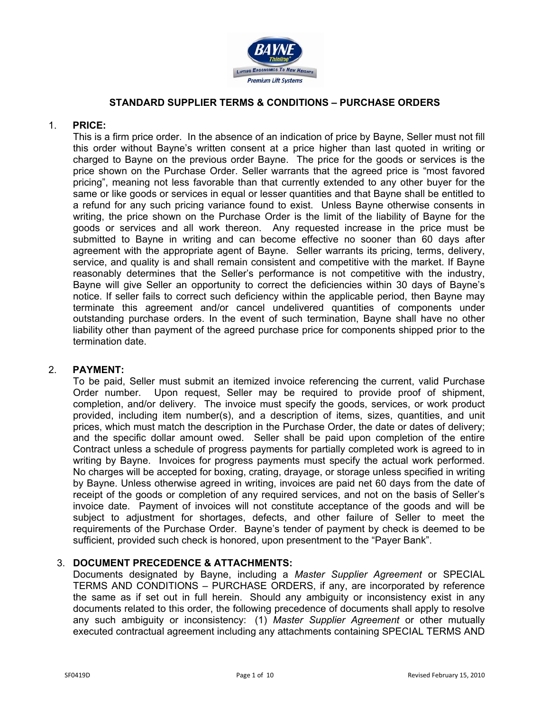

# **STANDARD SUPPLIER TERMS & CONDITIONS – PURCHASE ORDERS**

## 1. **PRICE:**

This is a firm price order. In the absence of an indication of price by Bayne, Seller must not fill this order without Bayne's written consent at a price higher than last quoted in writing or charged to Bayne on the previous order Bayne. The price for the goods or services is the price shown on the Purchase Order. Seller warrants that the agreed price is "most favored pricing", meaning not less favorable than that currently extended to any other buyer for the same or like goods or services in equal or lesser quantities and that Bayne shall be entitled to a refund for any such pricing variance found to exist. Unless Bayne otherwise consents in writing, the price shown on the Purchase Order is the limit of the liability of Bayne for the goods or services and all work thereon. Any requested increase in the price must be submitted to Bayne in writing and can become effective no sooner than 60 days after agreement with the appropriate agent of Bayne. Seller warrants its pricing, terms, delivery, service, and quality is and shall remain consistent and competitive with the market. If Bayne reasonably determines that the Seller's performance is not competitive with the industry, Bayne will give Seller an opportunity to correct the deficiencies within 30 days of Bayne's notice. If seller fails to correct such deficiency within the applicable period, then Bayne may terminate this agreement and/or cancel undelivered quantities of components under outstanding purchase orders. In the event of such termination, Bayne shall have no other liability other than payment of the agreed purchase price for components shipped prior to the termination date.

### 2. **PAYMENT:**

To be paid, Seller must submit an itemized invoice referencing the current, valid Purchase Order number. Upon request, Seller may be required to provide proof of shipment, completion, and/or delivery. The invoice must specify the goods, services, or work product provided, including item number(s), and a description of items, sizes, quantities, and unit prices, which must match the description in the Purchase Order, the date or dates of delivery; and the specific dollar amount owed. Seller shall be paid upon completion of the entire Contract unless a schedule of progress payments for partially completed work is agreed to in writing by Bayne. Invoices for progress payments must specify the actual work performed. No charges will be accepted for boxing, crating, drayage, or storage unless specified in writing by Bayne. Unless otherwise agreed in writing, invoices are paid net 60 days from the date of receipt of the goods or completion of any required services, and not on the basis of Seller's invoice date. Payment of invoices will not constitute acceptance of the goods and will be subject to adjustment for shortages, defects, and other failure of Seller to meet the requirements of the Purchase Order. Bayne's tender of payment by check is deemed to be sufficient, provided such check is honored, upon presentment to the "Payer Bank".

### 3. **DOCUMENT PRECEDENCE & ATTACHMENTS:**

Documents designated by Bayne, including a *Master Supplier Agreement* or SPECIAL TERMS AND CONDITIONS – PURCHASE ORDERS, if any, are incorporated by reference the same as if set out in full herein. Should any ambiguity or inconsistency exist in any documents related to this order, the following precedence of documents shall apply to resolve any such ambiguity or inconsistency: (1) *Master Supplier Agreement* or other mutually executed contractual agreement including any attachments containing SPECIAL TERMS AND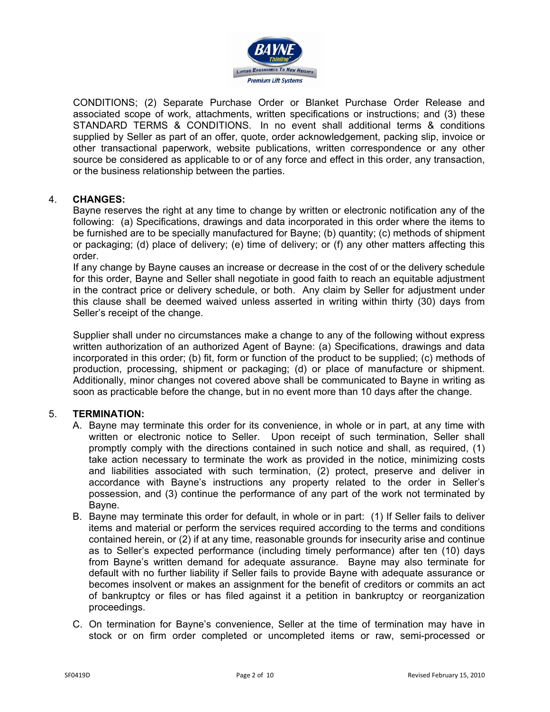

CONDITIONS; (2) Separate Purchase Order or Blanket Purchase Order Release and associated scope of work, attachments, written specifications or instructions; and (3) these STANDARD TERMS & CONDITIONS. In no event shall additional terms & conditions supplied by Seller as part of an offer, quote, order acknowledgement, packing slip, invoice or other transactional paperwork, website publications, written correspondence or any other source be considered as applicable to or of any force and effect in this order, any transaction, or the business relationship between the parties.

# 4. **CHANGES:**

Bayne reserves the right at any time to change by written or electronic notification any of the following: (a) Specifications, drawings and data incorporated in this order where the items to be furnished are to be specially manufactured for Bayne; (b) quantity; (c) methods of shipment or packaging; (d) place of delivery; (e) time of delivery; or (f) any other matters affecting this order.

If any change by Bayne causes an increase or decrease in the cost of or the delivery schedule for this order, Bayne and Seller shall negotiate in good faith to reach an equitable adjustment in the contract price or delivery schedule, or both. Any claim by Seller for adjustment under this clause shall be deemed waived unless asserted in writing within thirty (30) days from Seller's receipt of the change.

Supplier shall under no circumstances make a change to any of the following without express written authorization of an authorized Agent of Bayne: (a) Specifications, drawings and data incorporated in this order; (b) fit, form or function of the product to be supplied; (c) methods of production, processing, shipment or packaging; (d) or place of manufacture or shipment. Additionally, minor changes not covered above shall be communicated to Bayne in writing as soon as practicable before the change, but in no event more than 10 days after the change.

### 5. **TERMINATION:**

- A. Bayne may terminate this order for its convenience, in whole or in part, at any time with written or electronic notice to Seller. Upon receipt of such termination, Seller shall promptly comply with the directions contained in such notice and shall, as required, (1) take action necessary to terminate the work as provided in the notice, minimizing costs and liabilities associated with such termination, (2) protect, preserve and deliver in accordance with Bayne's instructions any property related to the order in Seller's possession, and (3) continue the performance of any part of the work not terminated by Bayne.
- B. Bayne may terminate this order for default, in whole or in part: (1) If Seller fails to deliver items and material or perform the services required according to the terms and conditions contained herein, or (2) if at any time, reasonable grounds for insecurity arise and continue as to Seller's expected performance (including timely performance) after ten (10) days from Bayne's written demand for adequate assurance. Bayne may also terminate for default with no further liability if Seller fails to provide Bayne with adequate assurance or becomes insolvent or makes an assignment for the benefit of creditors or commits an act of bankruptcy or files or has filed against it a petition in bankruptcy or reorganization proceedings.
- C. On termination for Bayne's convenience, Seller at the time of termination may have in stock or on firm order completed or uncompleted items or raw, semi-processed or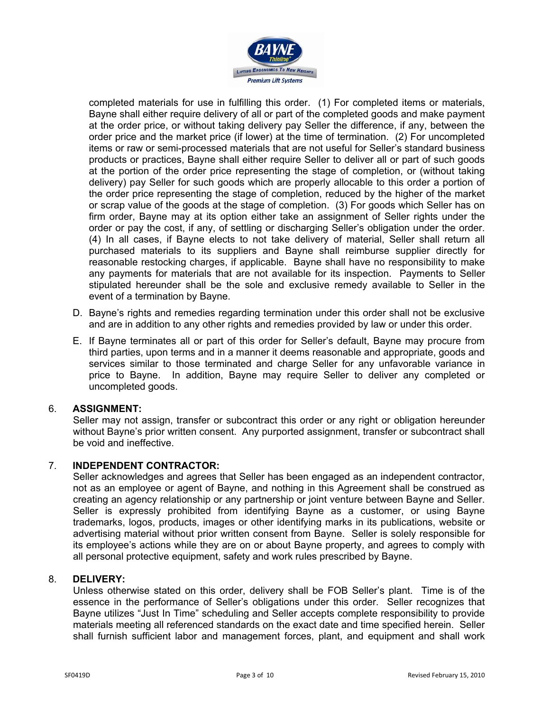

completed materials for use in fulfilling this order. (1) For completed items or materials, Bayne shall either require delivery of all or part of the completed goods and make payment at the order price, or without taking delivery pay Seller the difference, if any, between the order price and the market price (if lower) at the time of termination. (2) For uncompleted items or raw or semi-processed materials that are not useful for Seller's standard business products or practices, Bayne shall either require Seller to deliver all or part of such goods at the portion of the order price representing the stage of completion, or (without taking delivery) pay Seller for such goods which are properly allocable to this order a portion of the order price representing the stage of completion, reduced by the higher of the market or scrap value of the goods at the stage of completion. (3) For goods which Seller has on firm order, Bayne may at its option either take an assignment of Seller rights under the order or pay the cost, if any, of settling or discharging Seller's obligation under the order. (4) In all cases, if Bayne elects to not take delivery of material, Seller shall return all purchased materials to its suppliers and Bayne shall reimburse supplier directly for reasonable restocking charges, if applicable. Bayne shall have no responsibility to make any payments for materials that are not available for its inspection. Payments to Seller stipulated hereunder shall be the sole and exclusive remedy available to Seller in the event of a termination by Bayne.

- D. Bayne's rights and remedies regarding termination under this order shall not be exclusive and are in addition to any other rights and remedies provided by law or under this order.
- E. If Bayne terminates all or part of this order for Seller's default, Bayne may procure from third parties, upon terms and in a manner it deems reasonable and appropriate, goods and services similar to those terminated and charge Seller for any unfavorable variance in price to Bayne. In addition, Bayne may require Seller to deliver any completed or uncompleted goods.

### 6. **ASSIGNMENT:**

Seller may not assign, transfer or subcontract this order or any right or obligation hereunder without Bayne's prior written consent. Any purported assignment, transfer or subcontract shall be void and ineffective.

### 7. **INDEPENDENT CONTRACTOR:**

Seller acknowledges and agrees that Seller has been engaged as an independent contractor, not as an employee or agent of Bayne, and nothing in this Agreement shall be construed as creating an agency relationship or any partnership or joint venture between Bayne and Seller. Seller is expressly prohibited from identifying Bayne as a customer, or using Bayne trademarks, logos, products, images or other identifying marks in its publications, website or advertising material without prior written consent from Bayne. Seller is solely responsible for its employee's actions while they are on or about Bayne property, and agrees to comply with all personal protective equipment, safety and work rules prescribed by Bayne.

### 8. **DELIVERY:**

Unless otherwise stated on this order, delivery shall be FOB Seller's plant. Time is of the essence in the performance of Seller's obligations under this order. Seller recognizes that Bayne utilizes "Just In Time" scheduling and Seller accepts complete responsibility to provide materials meeting all referenced standards on the exact date and time specified herein. Seller shall furnish sufficient labor and management forces, plant, and equipment and shall work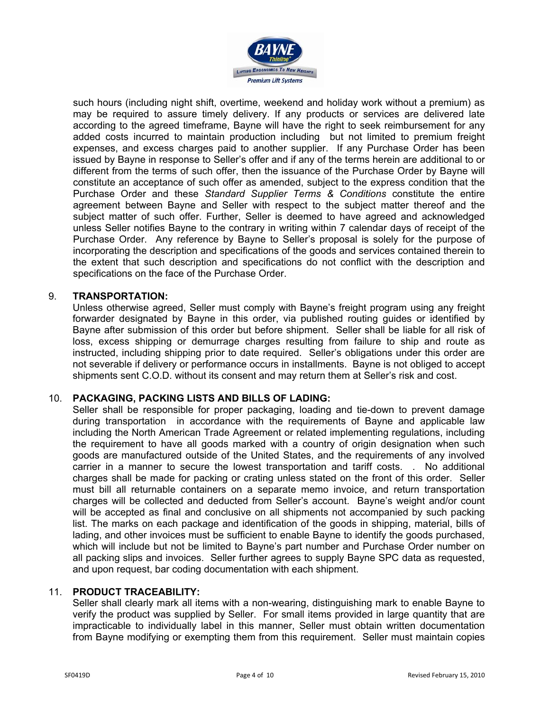

such hours (including night shift, overtime, weekend and holiday work without a premium) as may be required to assure timely delivery. If any products or services are delivered late according to the agreed timeframe, Bayne will have the right to seek reimbursement for any added costs incurred to maintain production including but not limited to premium freight expenses, and excess charges paid to another supplier. If any Purchase Order has been issued by Bayne in response to Seller's offer and if any of the terms herein are additional to or different from the terms of such offer, then the issuance of the Purchase Order by Bayne will constitute an acceptance of such offer as amended, subject to the express condition that the Purchase Order and these *Standard Supplier Terms & Conditions* constitute the entire agreement between Bayne and Seller with respect to the subject matter thereof and the subject matter of such offer. Further, Seller is deemed to have agreed and acknowledged unless Seller notifies Bayne to the contrary in writing within 7 calendar days of receipt of the Purchase Order. Any reference by Bayne to Seller's proposal is solely for the purpose of incorporating the description and specifications of the goods and services contained therein to the extent that such description and specifications do not conflict with the description and specifications on the face of the Purchase Order.

### 9. **TRANSPORTATION:**

Unless otherwise agreed, Seller must comply with Bayne's freight program using any freight forwarder designated by Bayne in this order, via published routing guides or identified by Bayne after submission of this order but before shipment. Seller shall be liable for all risk of loss, excess shipping or demurrage charges resulting from failure to ship and route as instructed, including shipping prior to date required. Seller's obligations under this order are not severable if delivery or performance occurs in installments. Bayne is not obliged to accept shipments sent C.O.D. without its consent and may return them at Seller's risk and cost.

### 10. **PACKAGING, PACKING LISTS AND BILLS OF LADING:**

Seller shall be responsible for proper packaging, loading and tie-down to prevent damage during transportation in accordance with the requirements of Bayne and applicable law including the North American Trade Agreement or related implementing regulations, including the requirement to have all goods marked with a country of origin designation when such goods are manufactured outside of the United States, and the requirements of any involved carrier in a manner to secure the lowest transportation and tariff costs. . No additional charges shall be made for packing or crating unless stated on the front of this order. Seller must bill all returnable containers on a separate memo invoice, and return transportation charges will be collected and deducted from Seller's account. Bayne's weight and/or count will be accepted as final and conclusive on all shipments not accompanied by such packing list. The marks on each package and identification of the goods in shipping, material, bills of lading, and other invoices must be sufficient to enable Bayne to identify the goods purchased, which will include but not be limited to Bayne's part number and Purchase Order number on all packing slips and invoices. Seller further agrees to supply Bayne SPC data as requested, and upon request, bar coding documentation with each shipment.

### 11. **PRODUCT TRACEABILITY:**

Seller shall clearly mark all items with a non-wearing, distinguishing mark to enable Bayne to verify the product was supplied by Seller. For small items provided in large quantity that are impracticable to individually label in this manner, Seller must obtain written documentation from Bayne modifying or exempting them from this requirement. Seller must maintain copies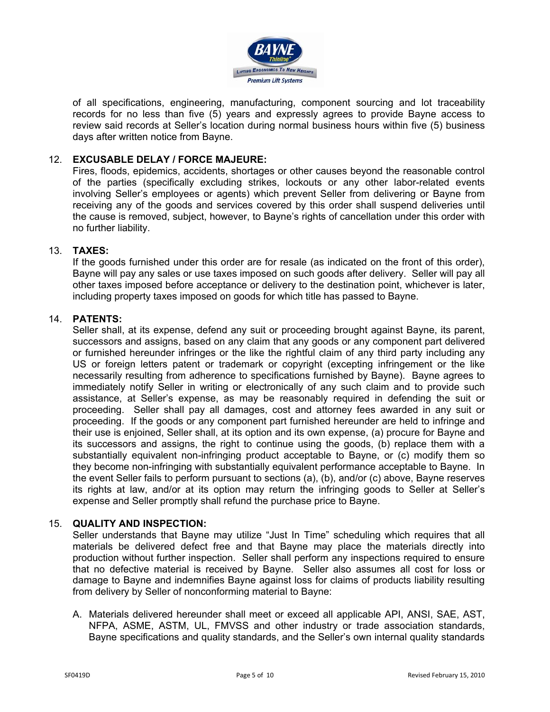

of all specifications, engineering, manufacturing, component sourcing and lot traceability records for no less than five (5) years and expressly agrees to provide Bayne access to review said records at Seller's location during normal business hours within five (5) business days after written notice from Bayne.

# 12. **EXCUSABLE DELAY / FORCE MAJEURE:**

Fires, floods, epidemics, accidents, shortages or other causes beyond the reasonable control of the parties (specifically excluding strikes, lockouts or any other labor-related events involving Seller's employees or agents) which prevent Seller from delivering or Bayne from receiving any of the goods and services covered by this order shall suspend deliveries until the cause is removed, subject, however, to Bayne's rights of cancellation under this order with no further liability.

### 13. **TAXES:**

If the goods furnished under this order are for resale (as indicated on the front of this order), Bayne will pay any sales or use taxes imposed on such goods after delivery. Seller will pay all other taxes imposed before acceptance or delivery to the destination point, whichever is later, including property taxes imposed on goods for which title has passed to Bayne.

### 14. **PATENTS:**

Seller shall, at its expense, defend any suit or proceeding brought against Bayne, its parent, successors and assigns, based on any claim that any goods or any component part delivered or furnished hereunder infringes or the like the rightful claim of any third party including any US or foreign letters patent or trademark or copyright (excepting infringement or the like necessarily resulting from adherence to specifications furnished by Bayne). Bayne agrees to immediately notify Seller in writing or electronically of any such claim and to provide such assistance, at Seller's expense, as may be reasonably required in defending the suit or proceeding. Seller shall pay all damages, cost and attorney fees awarded in any suit or proceeding. If the goods or any component part furnished hereunder are held to infringe and their use is enjoined, Seller shall, at its option and its own expense, (a) procure for Bayne and its successors and assigns, the right to continue using the goods, (b) replace them with a substantially equivalent non-infringing product acceptable to Bayne, or (c) modify them so they become non-infringing with substantially equivalent performance acceptable to Bayne. In the event Seller fails to perform pursuant to sections (a), (b), and/or (c) above, Bayne reserves its rights at law, and/or at its option may return the infringing goods to Seller at Seller's expense and Seller promptly shall refund the purchase price to Bayne.

### 15. **QUALITY AND INSPECTION:**

Seller understands that Bayne may utilize "Just In Time" scheduling which requires that all materials be delivered defect free and that Bayne may place the materials directly into production without further inspection. Seller shall perform any inspections required to ensure that no defective material is received by Bayne. Seller also assumes all cost for loss or damage to Bayne and indemnifies Bayne against loss for claims of products liability resulting from delivery by Seller of nonconforming material to Bayne:

A. Materials delivered hereunder shall meet or exceed all applicable API, ANSI, SAE, AST, NFPA, ASME, ASTM, UL, FMVSS and other industry or trade association standards, Bayne specifications and quality standards, and the Seller's own internal quality standards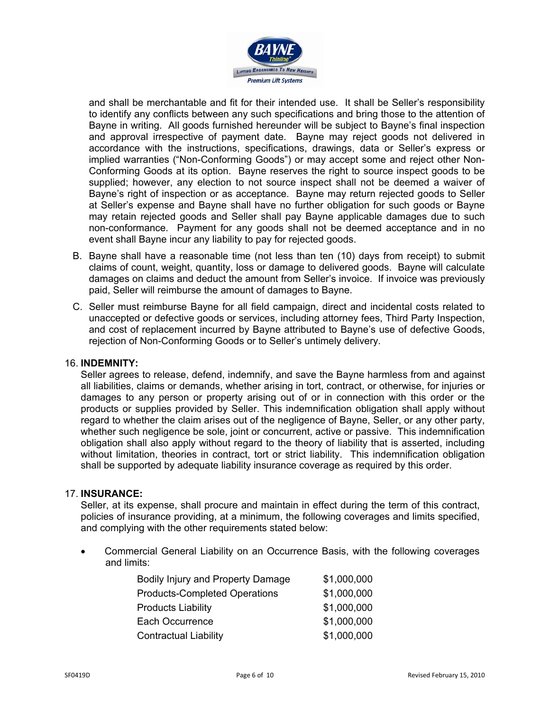

and shall be merchantable and fit for their intended use. It shall be Seller's responsibility to identify any conflicts between any such specifications and bring those to the attention of Bayne in writing. All goods furnished hereunder will be subject to Bayne's final inspection and approval irrespective of payment date. Bayne may reject goods not delivered in accordance with the instructions, specifications, drawings, data or Seller's express or implied warranties ("Non-Conforming Goods") or may accept some and reject other Non-Conforming Goods at its option. Bayne reserves the right to source inspect goods to be supplied; however, any election to not source inspect shall not be deemed a waiver of Bayne's right of inspection or as acceptance. Bayne may return rejected goods to Seller at Seller's expense and Bayne shall have no further obligation for such goods or Bayne may retain rejected goods and Seller shall pay Bayne applicable damages due to such non-conformance. Payment for any goods shall not be deemed acceptance and in no event shall Bayne incur any liability to pay for rejected goods.

- B. Bayne shall have a reasonable time (not less than ten (10) days from receipt) to submit claims of count, weight, quantity, loss or damage to delivered goods. Bayne will calculate damages on claims and deduct the amount from Seller's invoice. If invoice was previously paid, Seller will reimburse the amount of damages to Bayne.
- C. Seller must reimburse Bayne for all field campaign, direct and incidental costs related to unaccepted or defective goods or services, including attorney fees, Third Party Inspection, and cost of replacement incurred by Bayne attributed to Bayne's use of defective Goods, rejection of Non-Conforming Goods or to Seller's untimely delivery.

### 16. **INDEMNITY:**

Seller agrees to release, defend, indemnify, and save the Bayne harmless from and against all liabilities, claims or demands, whether arising in tort, contract, or otherwise, for injuries or damages to any person or property arising out of or in connection with this order or the products or supplies provided by Seller. This indemnification obligation shall apply without regard to whether the claim arises out of the negligence of Bayne, Seller, or any other party, whether such negligence be sole, joint or concurrent, active or passive. This indemnification obligation shall also apply without regard to the theory of liability that is asserted, including without limitation, theories in contract, tort or strict liability. This indemnification obligation shall be supported by adequate liability insurance coverage as required by this order.

### 17. **INSURANCE:**

Seller, at its expense, shall procure and maintain in effect during the term of this contract, policies of insurance providing, at a minimum, the following coverages and limits specified, and complying with the other requirements stated below:

• Commercial General Liability on an Occurrence Basis, with the following coverages and limits:

| Bodily Injury and Property Damage    | \$1,000,000 |
|--------------------------------------|-------------|
| <b>Products-Completed Operations</b> | \$1,000,000 |
| <b>Products Liability</b>            | \$1,000,000 |
| Each Occurrence                      | \$1,000,000 |
| <b>Contractual Liability</b>         | \$1,000,000 |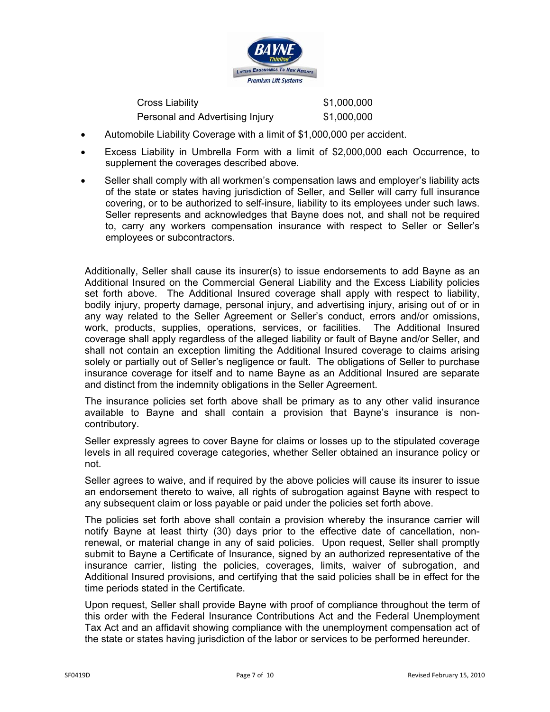

Cross Liability \$1,000,000 Personal and Advertising Injury \$1,000,000

- Automobile Liability Coverage with a limit of \$1,000,000 per accident.
- Excess Liability in Umbrella Form with a limit of \$2,000,000 each Occurrence, to supplement the coverages described above.
- Seller shall comply with all workmen's compensation laws and employer's liability acts of the state or states having jurisdiction of Seller, and Seller will carry full insurance covering, or to be authorized to self-insure, liability to its employees under such laws. Seller represents and acknowledges that Bayne does not, and shall not be required to, carry any workers compensation insurance with respect to Seller or Seller's employees or subcontractors.

Additionally, Seller shall cause its insurer(s) to issue endorsements to add Bayne as an Additional Insured on the Commercial General Liability and the Excess Liability policies set forth above. The Additional Insured coverage shall apply with respect to liability, bodily injury, property damage, personal injury, and advertising injury, arising out of or in any way related to the Seller Agreement or Seller's conduct, errors and/or omissions, work, products, supplies, operations, services, or facilities. The Additional Insured coverage shall apply regardless of the alleged liability or fault of Bayne and/or Seller, and shall not contain an exception limiting the Additional Insured coverage to claims arising solely or partially out of Seller's negligence or fault. The obligations of Seller to purchase insurance coverage for itself and to name Bayne as an Additional Insured are separate and distinct from the indemnity obligations in the Seller Agreement.

The insurance policies set forth above shall be primary as to any other valid insurance available to Bayne and shall contain a provision that Bayne's insurance is noncontributory.

Seller expressly agrees to cover Bayne for claims or losses up to the stipulated coverage levels in all required coverage categories, whether Seller obtained an insurance policy or not.

Seller agrees to waive, and if required by the above policies will cause its insurer to issue an endorsement thereto to waive, all rights of subrogation against Bayne with respect to any subsequent claim or loss payable or paid under the policies set forth above.

The policies set forth above shall contain a provision whereby the insurance carrier will notify Bayne at least thirty (30) days prior to the effective date of cancellation, nonrenewal, or material change in any of said policies. Upon request, Seller shall promptly submit to Bayne a Certificate of Insurance, signed by an authorized representative of the insurance carrier, listing the policies, coverages, limits, waiver of subrogation, and Additional Insured provisions, and certifying that the said policies shall be in effect for the time periods stated in the Certificate.

Upon request, Seller shall provide Bayne with proof of compliance throughout the term of this order with the Federal Insurance Contributions Act and the Federal Unemployment Tax Act and an affidavit showing compliance with the unemployment compensation act of the state or states having jurisdiction of the labor or services to be performed hereunder.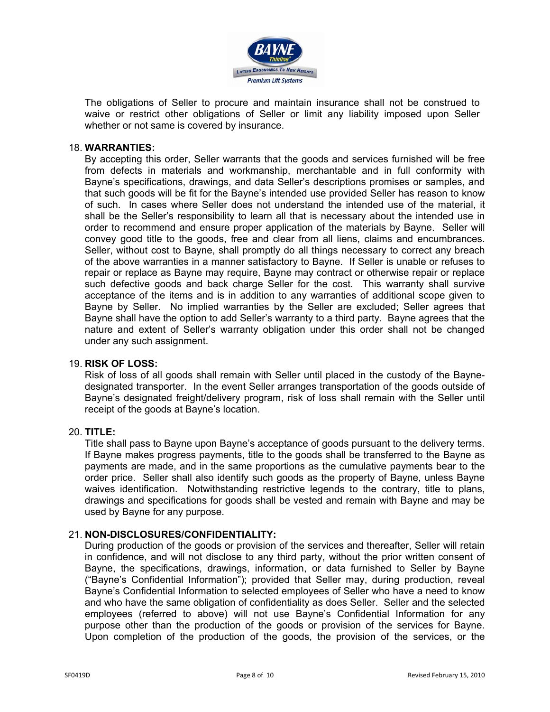

The obligations of Seller to procure and maintain insurance shall not be construed to waive or restrict other obligations of Seller or limit any liability imposed upon Seller whether or not same is covered by insurance.

#### 18. **WARRANTIES:**

By accepting this order, Seller warrants that the goods and services furnished will be free from defects in materials and workmanship, merchantable and in full conformity with Bayne's specifications, drawings, and data Seller's descriptions promises or samples, and that such goods will be fit for the Bayne's intended use provided Seller has reason to know of such. In cases where Seller does not understand the intended use of the material, it shall be the Seller's responsibility to learn all that is necessary about the intended use in order to recommend and ensure proper application of the materials by Bayne. Seller will convey good title to the goods, free and clear from all liens, claims and encumbrances. Seller, without cost to Bayne, shall promptly do all things necessary to correct any breach of the above warranties in a manner satisfactory to Bayne. If Seller is unable or refuses to repair or replace as Bayne may require, Bayne may contract or otherwise repair or replace such defective goods and back charge Seller for the cost. This warranty shall survive acceptance of the items and is in addition to any warranties of additional scope given to Bayne by Seller. No implied warranties by the Seller are excluded; Seller agrees that Bayne shall have the option to add Seller's warranty to a third party. Bayne agrees that the nature and extent of Seller's warranty obligation under this order shall not be changed under any such assignment.

#### 19. **RISK OF LOSS:**

Risk of loss of all goods shall remain with Seller until placed in the custody of the Baynedesignated transporter. In the event Seller arranges transportation of the goods outside of Bayne's designated freight/delivery program, risk of loss shall remain with the Seller until receipt of the goods at Bayne's location.

### 20. **TITLE:**

Title shall pass to Bayne upon Bayne's acceptance of goods pursuant to the delivery terms. If Bayne makes progress payments, title to the goods shall be transferred to the Bayne as payments are made, and in the same proportions as the cumulative payments bear to the order price. Seller shall also identify such goods as the property of Bayne, unless Bayne waives identification. Notwithstanding restrictive legends to the contrary, title to plans, drawings and specifications for goods shall be vested and remain with Bayne and may be used by Bayne for any purpose.

### 21. **NON-DISCLOSURES/CONFIDENTIALITY:**

During production of the goods or provision of the services and thereafter, Seller will retain in confidence, and will not disclose to any third party, without the prior written consent of Bayne, the specifications, drawings, information, or data furnished to Seller by Bayne ("Bayne's Confidential Information"); provided that Seller may, during production, reveal Bayne's Confidential Information to selected employees of Seller who have a need to know and who have the same obligation of confidentiality as does Seller. Seller and the selected employees (referred to above) will not use Bayne's Confidential Information for any purpose other than the production of the goods or provision of the services for Bayne. Upon completion of the production of the goods, the provision of the services, or the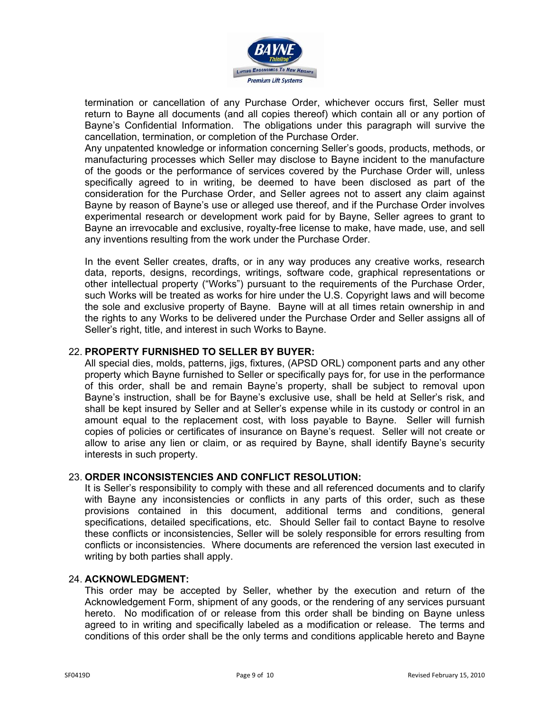

termination or cancellation of any Purchase Order, whichever occurs first, Seller must return to Bayne all documents (and all copies thereof) which contain all or any portion of Bayne's Confidential Information. The obligations under this paragraph will survive the cancellation, termination, or completion of the Purchase Order.

Any unpatented knowledge or information concerning Seller's goods, products, methods, or manufacturing processes which Seller may disclose to Bayne incident to the manufacture of the goods or the performance of services covered by the Purchase Order will, unless specifically agreed to in writing, be deemed to have been disclosed as part of the consideration for the Purchase Order, and Seller agrees not to assert any claim against Bayne by reason of Bayne's use or alleged use thereof, and if the Purchase Order involves experimental research or development work paid for by Bayne, Seller agrees to grant to Bayne an irrevocable and exclusive, royalty-free license to make, have made, use, and sell any inventions resulting from the work under the Purchase Order.

In the event Seller creates, drafts, or in any way produces any creative works, research data, reports, designs, recordings, writings, software code, graphical representations or other intellectual property ("Works") pursuant to the requirements of the Purchase Order, such Works will be treated as works for hire under the U.S. Copyright laws and will become the sole and exclusive property of Bayne. Bayne will at all times retain ownership in and the rights to any Works to be delivered under the Purchase Order and Seller assigns all of Seller's right, title, and interest in such Works to Bayne.

## 22. **PROPERTY FURNISHED TO SELLER BY BUYER:**

All special dies, molds, patterns, jigs, fixtures, (APSD ORL) component parts and any other property which Bayne furnished to Seller or specifically pays for, for use in the performance of this order, shall be and remain Bayne's property, shall be subject to removal upon Bayne's instruction, shall be for Bayne's exclusive use, shall be held at Seller's risk, and shall be kept insured by Seller and at Seller's expense while in its custody or control in an amount equal to the replacement cost, with loss payable to Bayne. Seller will furnish copies of policies or certificates of insurance on Bayne's request. Seller will not create or allow to arise any lien or claim, or as required by Bayne, shall identify Bayne's security interests in such property.

# 23. **ORDER INCONSISTENCIES AND CONFLICT RESOLUTION:**

It is Seller's responsibility to comply with these and all referenced documents and to clarify with Bayne any inconsistencies or conflicts in any parts of this order, such as these provisions contained in this document, additional terms and conditions, general specifications, detailed specifications, etc. Should Seller fail to contact Bayne to resolve these conflicts or inconsistencies, Seller will be solely responsible for errors resulting from conflicts or inconsistencies. Where documents are referenced the version last executed in writing by both parties shall apply.

### 24. **ACKNOWLEDGMENT:**

This order may be accepted by Seller, whether by the execution and return of the Acknowledgement Form, shipment of any goods, or the rendering of any services pursuant hereto. No modification of or release from this order shall be binding on Bayne unless agreed to in writing and specifically labeled as a modification or release. The terms and conditions of this order shall be the only terms and conditions applicable hereto and Bayne